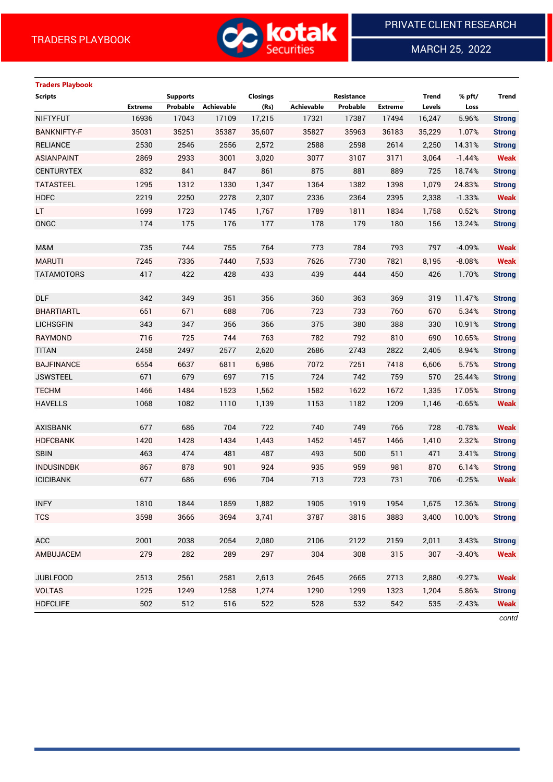

MARCH 25, 2022

 $\overline{a}$ 

# **Traders Playbook**

| <b>Scripts</b>     |                | <b>Supports</b> |            | <b>Closings</b> |            | Resistance |         | <b>Trend</b> | % pft/   | <b>Trend</b>  |
|--------------------|----------------|-----------------|------------|-----------------|------------|------------|---------|--------------|----------|---------------|
|                    | <b>Extreme</b> | Probable        | Achievable | (Rs)            | Achievable | Probable   | Extreme | Levels       | Loss     |               |
| <b>NIFTYFUT</b>    | 16936          | 17043           | 17109      | 17,215          | 17321      | 17387      | 17494   | 16,247       | 5.96%    | <b>Strong</b> |
| <b>BANKNIFTY-F</b> | 35031          | 35251           | 35387      | 35,607          | 35827      | 35963      | 36183   | 35,229       | 1.07%    | <b>Strong</b> |
| <b>RELIANCE</b>    | 2530           | 2546            | 2556       | 2,572           | 2588       | 2598       | 2614    | 2,250        | 14.31%   | <b>Strong</b> |
| <b>ASIANPAINT</b>  | 2869           | 2933            | 3001       | 3,020           | 3077       | 3107       | 3171    | 3,064        | $-1.44%$ | <b>Weak</b>   |
| <b>CENTURYTEX</b>  | 832            | 841             | 847        | 861             | 875        | 881        | 889     | 725          | 18.74%   | <b>Strong</b> |
| <b>TATASTEEL</b>   | 1295           | 1312            | 1330       | 1,347           | 1364       | 1382       | 1398    | 1,079        | 24.83%   | <b>Strong</b> |
| <b>HDFC</b>        | 2219           | 2250            | 2278       | 2,307           | 2336       | 2364       | 2395    | 2,338        | $-1.33%$ | <b>Weak</b>   |
| LT.                | 1699           | 1723            | 1745       | 1,767           | 1789       | 1811       | 1834    | 1,758        | 0.52%    | <b>Strong</b> |
| ONGC               | 174            | 175             | 176        | 177             | 178        | 179        | 180     | 156          | 13.24%   | <b>Strong</b> |
|                    |                |                 |            |                 |            |            |         |              |          |               |
| M&M                | 735            | 744             | 755        | 764             | 773        | 784        | 793     | 797          | $-4.09%$ | <b>Weak</b>   |
| <b>MARUTI</b>      | 7245           | 7336            | 7440       | 7,533           | 7626       | 7730       | 7821    | 8,195        | $-8.08%$ | <b>Weak</b>   |
| <b>TATAMOTORS</b>  | 417            | 422             | 428        | 433             | 439        | 444        | 450     | 426          | 1.70%    | <b>Strong</b> |
|                    |                |                 |            |                 |            |            |         |              |          |               |
| <b>DLF</b>         | 342            | 349             | 351        | 356             | 360        | 363        | 369     | 319          | 11.47%   | <b>Strong</b> |
| <b>BHARTIARTL</b>  | 651            | 671             | 688        | 706             | 723        | 733        | 760     | 670          | 5.34%    | <b>Strong</b> |
| <b>LICHSGFIN</b>   | 343            | 347             | 356        | 366             | 375        | 380        | 388     | 330          | 10.91%   | <b>Strong</b> |
| <b>RAYMOND</b>     | 716            | 725             | 744        | 763             | 782        | 792        | 810     | 690          | 10.65%   | <b>Strong</b> |
| <b>TITAN</b>       | 2458           | 2497            | 2577       | 2,620           | 2686       | 2743       | 2822    | 2,405        | 8.94%    | <b>Strong</b> |
| <b>BAJFINANCE</b>  | 6554           | 6637            | 6811       | 6,986           | 7072       | 7251       | 7418    | 6,606        | 5.75%    | <b>Strong</b> |
| <b>JSWSTEEL</b>    | 671            | 679             | 697        | 715             | 724        | 742        | 759     | 570          | 25.44%   | <b>Strong</b> |
| <b>TECHM</b>       | 1466           | 1484            | 1523       | 1,562           | 1582       | 1622       | 1672    | 1,335        | 17.05%   | <b>Strong</b> |
| <b>HAVELLS</b>     | 1068           | 1082            | 1110       | 1,139           | 1153       | 1182       | 1209    | 1,146        | $-0.65%$ | <b>Weak</b>   |
|                    |                |                 |            |                 |            |            |         |              |          |               |
| <b>AXISBANK</b>    | 677            | 686             | 704        | 722             | 740        | 749        | 766     | 728          | $-0.78%$ | <b>Weak</b>   |
| <b>HDFCBANK</b>    | 1420           | 1428            | 1434       | 1,443           | 1452       | 1457       | 1466    | 1,410        | 2.32%    | <b>Strong</b> |
| <b>SBIN</b>        | 463            | 474             | 481        | 487             | 493        | 500        | 511     | 471          | 3.41%    | <b>Strong</b> |
| <b>INDUSINDBK</b>  | 867            | 878             | 901        | 924             | 935        | 959        | 981     | 870          | 6.14%    | <b>Strong</b> |
| <b>ICICIBANK</b>   | 677            | 686             | 696        | 704             | 713        | 723        | 731     | 706          | $-0.25%$ | <b>Weak</b>   |
|                    |                |                 |            |                 |            |            |         |              |          |               |
| <b>INFY</b>        | 1810           | 1844            | 1859       | 1,882           | 1905       | 1919       | 1954    | 1,675        | 12.36%   | <b>Strong</b> |
| <b>TCS</b>         | 3598           | 3666            | 3694       | 3,741           | 3787       | 3815       | 3883    | 3,400        | 10.00%   | <b>Strong</b> |
| ACC                | 2001           | 2038            | 2054       | 2,080           | 2106       | 2122       | 2159    | 2,011        | 3.43%    | <b>Strong</b> |
| AMBUJACEM          | 279            | 282             | 289        | 297             | 304        | 308        | 315     | 307          | $-3.40%$ | <b>Weak</b>   |
|                    |                |                 |            |                 |            |            |         |              |          |               |
| <b>JUBLFOOD</b>    | 2513           | 2561            | 2581       | 2,613           | 2645       | 2665       | 2713    | 2,880        | $-9.27%$ | <b>Weak</b>   |
| <b>VOLTAS</b>      | 1225           | 1249            | 1258       | 1,274           | 1290       | 1299       | 1323    | 1,204        | 5.86%    | <b>Strong</b> |
| <b>HDFCLIFE</b>    | 502            | 512             | 516        | 522             | 528        | 532        | 542     | 535          | $-2.43%$ | <b>Weak</b>   |

*contd*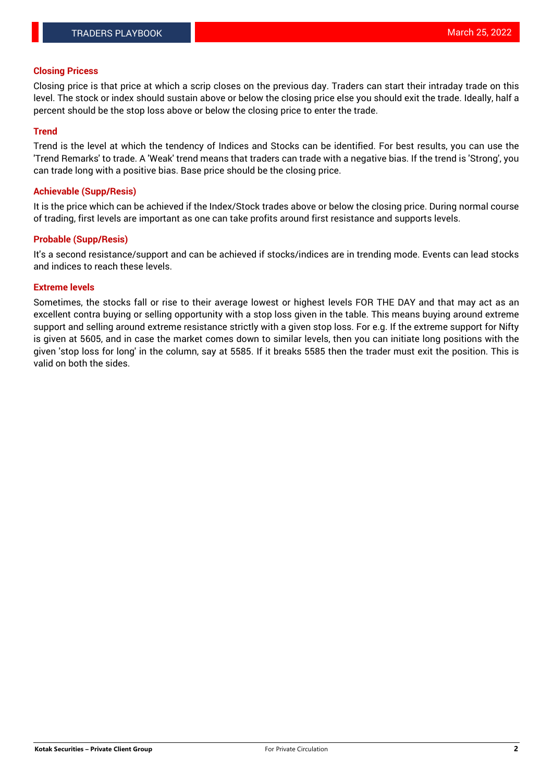## **Closing Pricess**

Closing price is that price at which a scrip closes on the previous day. Traders can start their intraday trade on this level. The stock or index should sustain above or below the closing price else you should exit the trade. Ideally, half a percent should be the stop loss above or below the closing price to enter the trade.

## **Trend**

Trend is the level at which the tendency of Indices and Stocks can be identified. For best results, you can use the 'Trend Remarks' to trade. A 'Weak' trend means that traders can trade with a negative bias. If the trend is 'Strong', you can trade long with a positive bias. Base price should be the closing price.

## **Achievable (Supp/Resis)**

It is the price which can be achieved if the Index/Stock trades above or below the closing price. During normal course of trading, first levels are important as one can take profits around first resistance and supports levels.

## **Probable (Supp/Resis)**

It's a second resistance/support and can be achieved if stocks/indices are in trending mode. Events can lead stocks and indices to reach these levels.

#### **Extreme levels**

Sometimes, the stocks fall or rise to their average lowest or highest levels FOR THE DAY and that may act as an excellent contra buying or selling opportunity with a stop loss given in the table. This means buying around extreme support and selling around extreme resistance strictly with a given stop loss. For e.g. If the extreme support for Nifty is given at 5605, and in case the market comes down to similar levels, then you can initiate long positions with the given 'stop loss for long' in the column, say at 5585. If it breaks 5585 then the trader must exit the position. This is valid on both the sides.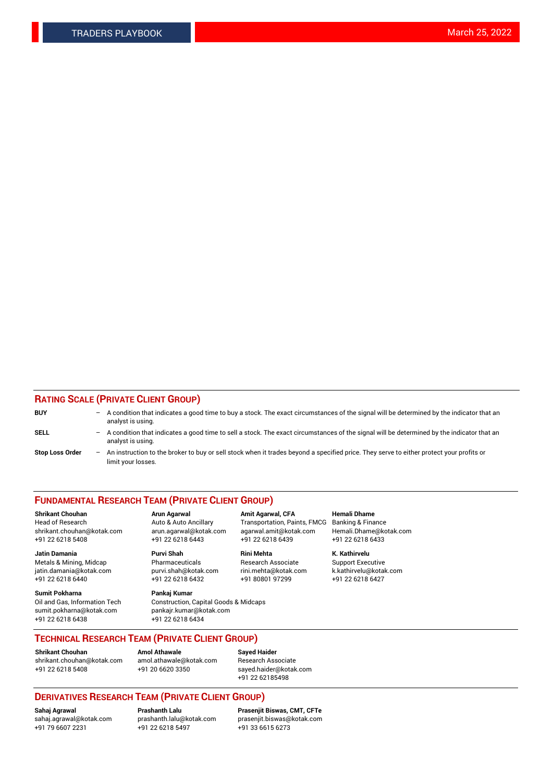## **RATING SCALE (PRIVATE CLIENT GROUP)**

| <b>BUY</b>             | $-$ | A condition that indicates a good time to buy a stock. The exact circumstances of the signal will be determined by the indicator that an<br>analyst is using.    |
|------------------------|-----|------------------------------------------------------------------------------------------------------------------------------------------------------------------|
| <b>SELL</b>            |     | - A condition that indicates a good time to sell a stock. The exact circumstances of the signal will be determined by the indicator that an<br>analyst is using. |
| <b>Stop Loss Order</b> |     | An instruction to the broker to buy or sell stock when it trades beyond a specified price. They serve to either protect your profits or<br>limit your losses.    |

#### **FUNDAMENTAL RESEARCH TEAM (PRIVATE CLIENT GROUP)**

**Shrikant Chouhan Arun Agarwal Amit Agarwal, CFA Hemali Dhame** Head of Research Auto & Auto Ancillary Transportation, Paints, FMCG Banking & Finance shrikant.chouhan@kotak.com arun.agarwal@kotak.com agarwal.amit@kotak.com Hemali.Dhame@kotak.com

**Jatin Damania Purvi Shah Rini Mehta K. Kathirvelu** Metals & Mining, Midcap **Pharmaceuticals** Research Associate Support Executive jatin.damania@kotak.com [purvi.shah@kotak.com](mailto:purvi.shah@kotak.com) rini.mehta@kotak.com [k.kathirvelu@kotak.com](mailto:k.kathirvelu@kotak.com)  $+91$  22 6218 6440  $+91$  22 6218 6432

**Sumit Pokharna Pankaj Kumar** sumit.pokharna@kotak.com pankajr.kumar@kotak.com +91 22 6218 6438 +91 22 6218 6434

Oil and Gas, Information Tech Construction, Capital Goods & Midcaps

+91 22 6218 5408 +91 22 6218 6443 +91 22 6218 6439 +91 22 6218 6433

**TECHNICAL RESEARCH TEAM (PRIVATE CLIENT GROUP)**

[shrikant.chouhan@kotak.com](mailto:shrikant.chouhan@kotak.com) [amol.athawale@kotak.com](mailto:amol.athawale@kotak.com) Research Associate +91 22 6218 5408 +91 20 6620 3350 [sayed.haider@kotak.com](mailto:sayed.haider@kotak.com)

**Shrikant Chouhan Amol Athawale Sayed Haider**

+91 22 62185498

# **DERIVATIVES RESEARCH TEAM (PRIVATE CLIENT GROUP)**

 $+91$  22 6218 5497

**Sahaj Agrawal Prashanth Lalu Prasenjit Biswas, CMT, CFTe** [sahaj.agrawal@kotak.com](mailto:sahaj.agrawal@kotak.com) [prashanth.lalu@kotak.com](mailto:prashanth.lalu@kotak.com) [prasenjit.biswas@kotak.com](mailto:prasenjit.biswas@kotak.com)